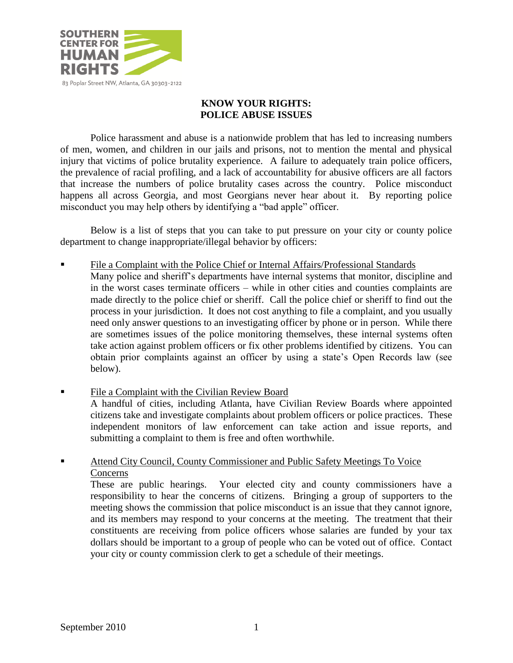

# **KNOW YOUR RIGHTS: POLICE ABUSE ISSUES**

Police harassment and abuse is a nationwide problem that has led to increasing numbers of men, women, and children in our jails and prisons, not to mention the mental and physical injury that victims of police brutality experience. A failure to adequately train police officers, the prevalence of racial profiling, and a lack of accountability for abusive officers are all factors that increase the numbers of police brutality cases across the country. Police misconduct happens all across Georgia, and most Georgians never hear about it. By reporting police misconduct you may help others by identifying a "bad apple" officer.

Below is a list of steps that you can take to put pressure on your city or county police department to change inappropriate/illegal behavior by officers:

- File a Complaint with the Police Chief or Internal Affairs/Professional Standards Many police and sheriff's departments have internal systems that monitor, discipline and in the worst cases terminate officers – while in other cities and counties complaints are made directly to the police chief or sheriff. Call the police chief or sheriff to find out the process in your jurisdiction. It does not cost anything to file a complaint, and you usually need only answer questions to an investigating officer by phone or in person. While there are sometimes issues of the police monitoring themselves, these internal systems often take action against problem officers or fix other problems identified by citizens. You can obtain prior complaints against an officer by using a state's Open Records law (see below).
- File a Complaint with the Civilian Review Board A handful of cities, including Atlanta, have Civilian Review Boards where appointed citizens take and investigate complaints about problem officers or police practices. These independent monitors of law enforcement can take action and issue reports, and submitting a complaint to them is free and often worthwhile.
- Attend City Council, County Commissioner and Public Safety Meetings To Voice **Concerns**

These are public hearings. Your elected city and county commissioners have a responsibility to hear the concerns of citizens. Bringing a group of supporters to the meeting shows the commission that police misconduct is an issue that they cannot ignore, and its members may respond to your concerns at the meeting. The treatment that their constituents are receiving from police officers whose salaries are funded by your tax dollars should be important to a group of people who can be voted out of office. Contact your city or county commission clerk to get a schedule of their meetings.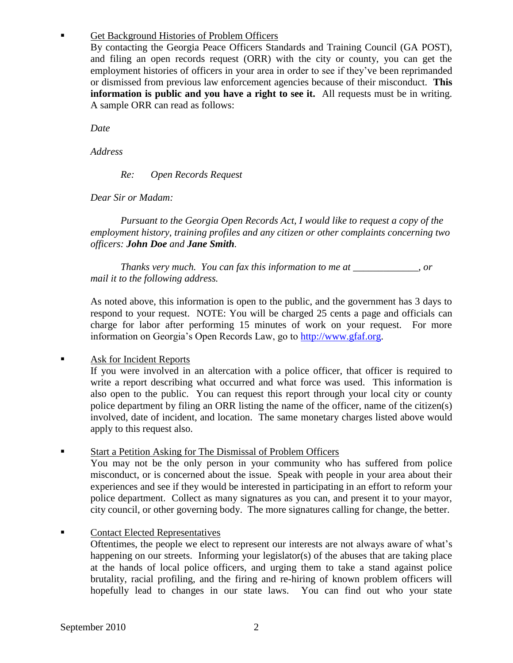### Get Background Histories of Problem Officers

By contacting the Georgia Peace Officers Standards and Training Council (GA POST), and filing an open records request (ORR) with the city or county, you can get the employment histories of officers in your area in order to see if they've been reprimanded or dismissed from previous law enforcement agencies because of their misconduct. **This information is public and you have a right to see it.** All requests must be in writing. A sample ORR can read as follows:

*Date*

*Address*

*Re: Open Records Request*

*Dear Sir or Madam:*

*Pursuant to the Georgia Open Records Act, I would like to request a copy of the employment history, training profiles and any citizen or other complaints concerning two officers: John Doe and Jane Smith.* 

*Thanks very much. You can fax this information to me at \_\_\_\_\_\_\_\_\_\_\_\_\_, or mail it to the following address.* 

As noted above, this information is open to the public, and the government has 3 days to respond to your request. NOTE: You will be charged 25 cents a page and officials can charge for labor after performing 15 minutes of work on your request. For more information on Georgia's Open Records Law, go to [http://www.gfaf.org.](http://www.gfaf.org/)

## Ask for Incident Reports

If you were involved in an altercation with a police officer, that officer is required to write a report describing what occurred and what force was used. This information is also open to the public. You can request this report through your local city or county police department by filing an ORR listing the name of the officer, name of the citizen(s) involved, date of incident, and location. The same monetary charges listed above would apply to this request also.

## Start a Petition Asking for The Dismissal of Problem Officers

You may not be the only person in your community who has suffered from police misconduct, or is concerned about the issue. Speak with people in your area about their experiences and see if they would be interested in participating in an effort to reform your police department. Collect as many signatures as you can, and present it to your mayor, city council, or other governing body. The more signatures calling for change, the better.

## Contact Elected Representatives

Oftentimes, the people we elect to represent our interests are not always aware of what's happening on our streets. Informing your legislator(s) of the abuses that are taking place at the hands of local police officers, and urging them to take a stand against police brutality, racial profiling, and the firing and re-hiring of known problem officers will hopefully lead to changes in our state laws. You can find out who your state